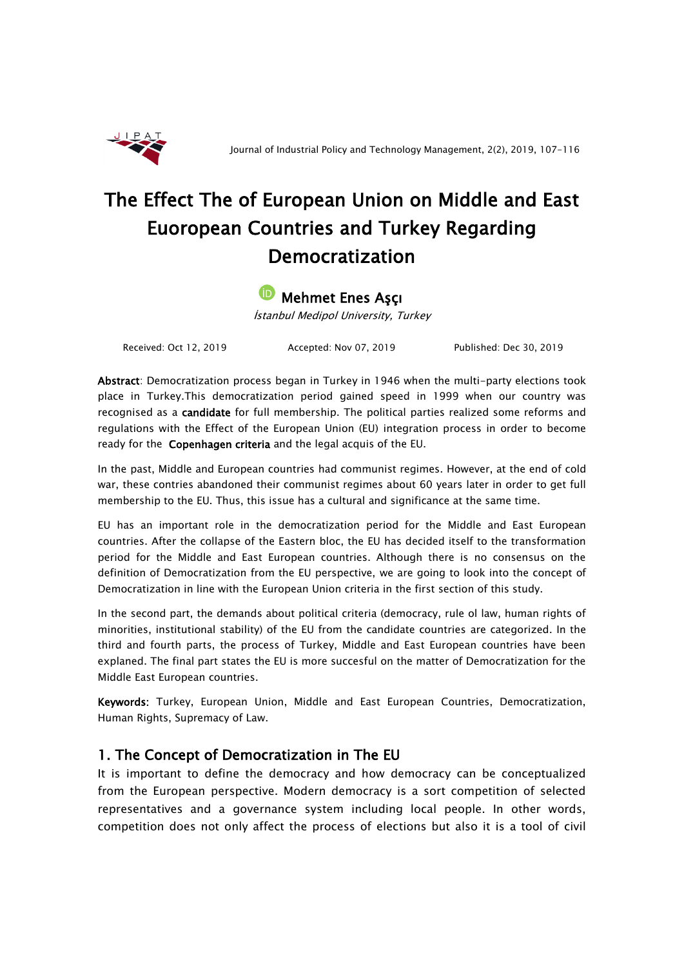

# The Effect The of European Union on Middle and East Euoropean Countries and Turkey Regarding Democratization

#### Mehmet Enes Aşçı [İD](https://orcid.org/0000-0003-0635-8225)

İstanbul Medipol University, Turkey

Received: Oct 12, 2019 Accepted: Nov 07, 2019 Published: Dec 30, 2019

Abstract: Democratization process began in Turkey in 1946 when the multi-party elections took place in Turkey.This democratization period gained speed in 1999 when our country was recognised as a **candidate** for full membership. The political parties realized some reforms and regulations with the Effect of the European Union (EU) integration process in order to become ready for the Copenhagen criteria and the legal acquis of the EU.

In the past, Middle and European countries had communist regimes. However, at the end of cold war, these contries abandoned their communist regimes about 60 years later in order to get full membership to the EU. Thus, this issue has a cultural and significance at the same time.

EU has an important role in the democratization period for the Middle and East European countries. After the collapse of the Eastern bloc, the EU has decided itself to the transformation period for the Middle and East European countries. Although there is no consensus on the definition of Democratization from the EU perspective, we are going to look into the concept of Democratization in line with the European Union criteria in the first section of this study.

In the second part, the demands about political criteria (democracy, rule ol law, human rights of minorities, institutional stability) of the EU from the candidate countries are categorized. In the third and fourth parts, the process of Turkey, Middle and East European countries have been explaned. The final part states the EU is more succesful on the matter of Democratization for the Middle East European countries.

Keywords: Turkey, European Union, Middle and East European Countries, Democratization, Human Rights, Supremacy of Law.

### 1. The Concept of Democratization in The EU

It is important to define the democracy and how democracy can be conceptualized from the European perspective. Modern democracy is a sort competition of selected representatives and a governance system including local people. In other words, competition does not only affect the process of elections but also it is a tool of civil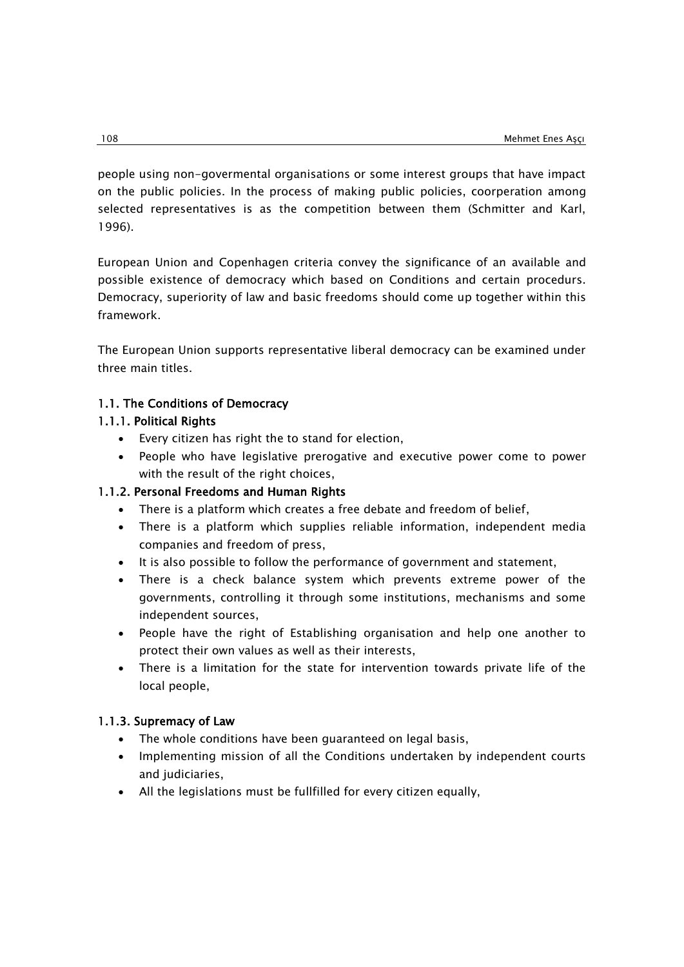people using non-govermental organisations or some interest groups that have impact on the public policies. In the process of making public policies, coorperation among selected representatives is as the competition between them (Schmitter and Karl, 1996).

European Union and Copenhagen criteria convey the significance of an available and possible existence of democracy which based on Conditions and certain procedurs. Democracy, superiority of law and basic freedoms should come up together within this framework.

The European Union supports representative liberal democracy can be examined under three main titles.

### 1.1. The Conditions of Democracy

### 1.1.1. Political Rights

- Every citizen has right the to stand for election,
- People who have legislative prerogative and executive power come to power with the result of the right choices,

### 1.1.2. Personal Freedoms and Human Rights

- There is a platform which creates a free debate and freedom of belief,
- There is a platform which supplies reliable information, independent media companies and freedom of press,
- It is also possible to follow the performance of government and statement,
- There is a check balance system which prevents extreme power of the governments, controlling it through some institutions, mechanisms and some independent sources,
- People have the right of Establishing organisation and help one another to protect their own values as well as their interests,
- There is a limitation for the state for intervention towards private life of the local people,

### 1.1.3. Supremacy of Law

- The whole conditions have been guaranteed on legal basis,
- Implementing mission of all the Conditions undertaken by independent courts and judiciaries,
- All the legislations must be fullfilled for every citizen equally,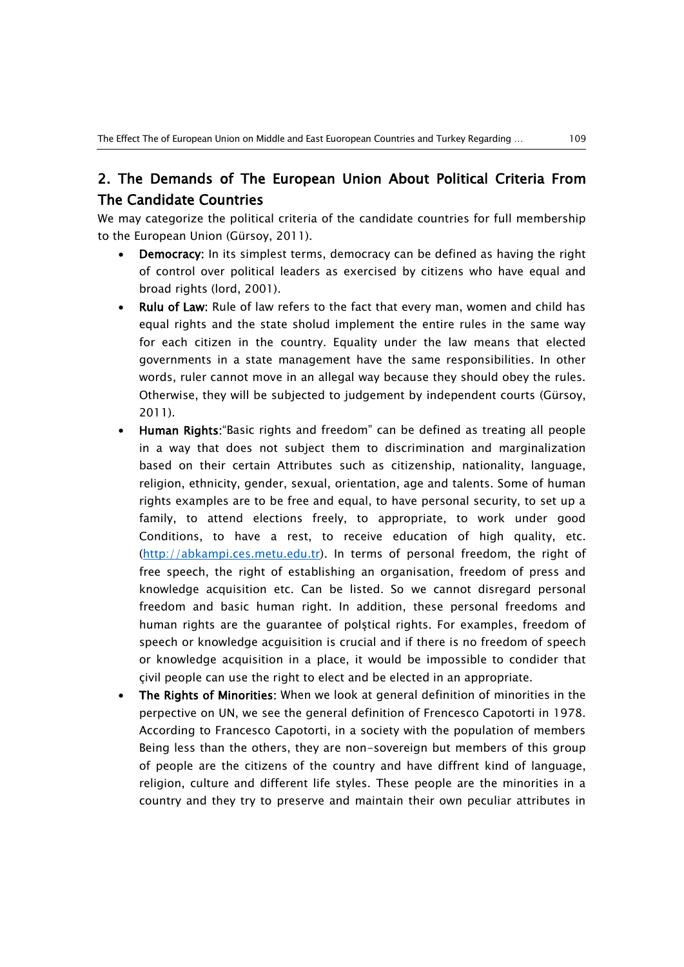## 2. The Demands of The European Union About Political Criteria From The Candidate Countries

We may categorize the political criteria of the candidate countries for full membership to the European Union (Gürsoy, 2011).

- Democracy: In its simplest terms, democracy can be defined as having the right of control over political leaders as exercised by citizens who have equal and broad rights (lord, 2001).
- Rulu of Law: Rule of law refers to the fact that every man, women and child has equal rights and the state sholud implement the entire rules in the same way for each citizen in the country. Equality under the law means that elected governments in a state management have the same responsibilities. In other words, ruler cannot move in an allegal way because they should obey the rules. Otherwise, they will be subjected to judgement by independent courts (Gürsoy, 2011).
- Human Rights:"Basic rights and freedom" can be defined as treating all people in a way that does not subject them to discrimination and marginalization based on their certain Attributes such as citizenship, nationality, language, religion, ethnicity, gender, sexual, orientation, age and talents. Some of human rights examples are to be free and equal, to have personal security, to set up a family, to attend elections freely, to appropriate, to work under good Conditions, to have a rest, to receive education of high quality, etc. [\(http://abkampi.ces.metu.edu.tr\)](http://abkampi.ces.metu.edu.tr/). In terms of personal freedom, the right of free speech, the right of establishing an organisation, freedom of press and knowledge acquisition etc. Can be listed. So we cannot disregard personal freedom and basic human right. In addition, these personal freedoms and human rights are the guarantee of polştical rights. For examples, freedom of speech or knowledge acguisition is crucial and if there is no freedom of speech or knowledge acquisition in a place, it would be impossible to condider that çivil people can use the right to elect and be elected in an appropriate.
- The Rights of Minorities: When we look at general definition of minorities in the perpective on UN, we see the general definition of Frencesco Capotorti in 1978. According to Francesco Capotorti, in a society with the population of members Being less than the others, they are non-sovereign but members of this group of people are the citizens of the country and have diffrent kind of language, religion, culture and different life styles. These people are the minorities in a country and they try to preserve and maintain their own peculiar attributes in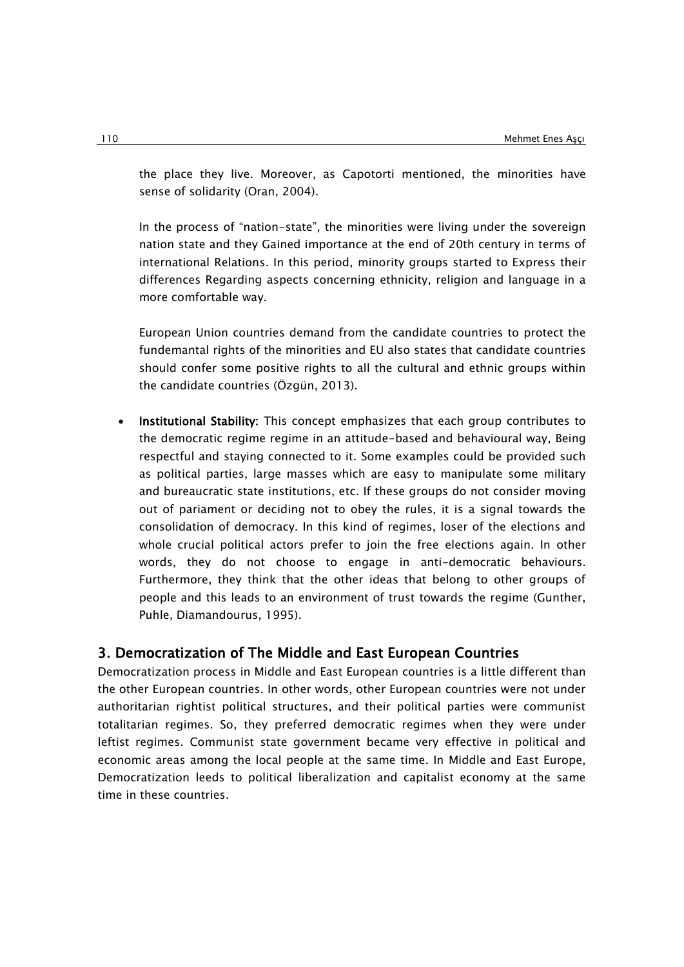the place they live. Moreover, as Capotorti mentioned, the minorities have sense of solidarity (Oran, 2004).

In the process of "nation-state", the minorities were living under the sovereign nation state and they Gained importance at the end of 20th century in terms of international Relations. In this period, minority groups started to Express their differences Regarding aspects concerning ethnicity, religion and language in a more comfortable way.

European Union countries demand from the candidate countries to protect the fundemantal rights of the minorities and EU also states that candidate countries should confer some positive rights to all the cultural and ethnic groups within the candidate countries (Özgün, 2013).

 Institutional Stability: This concept emphasizes that each group contributes to the democratic regime regime in an attitude-based and behavioural way, Being respectful and staying connected to it. Some examples could be provided such as political parties, large masses which are easy to manipulate some military and bureaucratic state institutions, etc. If these groups do not consider moving out of pariament or deciding not to obey the rules, it is a signal towards the consolidation of democracy. In this kind of regimes, loser of the elections and whole crucial political actors prefer to join the free elections again. In other words, they do not choose to engage in anti-democratic behaviours. Furthermore, they think that the other ideas that belong to other groups of people and this leads to an environment of trust towards the regime (Gunther, Puhle, Diamandourus, 1995).

### 3. Democratization of The Middle and East European Countries

Democratization process in Middle and East European countries is a little different than the other European countries. In other words, other European countries were not under authoritarian rightist political structures, and their political parties were communist totalitarian regimes. So, they preferred democratic regimes when they were under leftist regimes. Communist state government became very effective in political and economic areas among the local people at the same time. In Middle and East Europe, Democratization leeds to political liberalization and capitalist economy at the same time in these countries.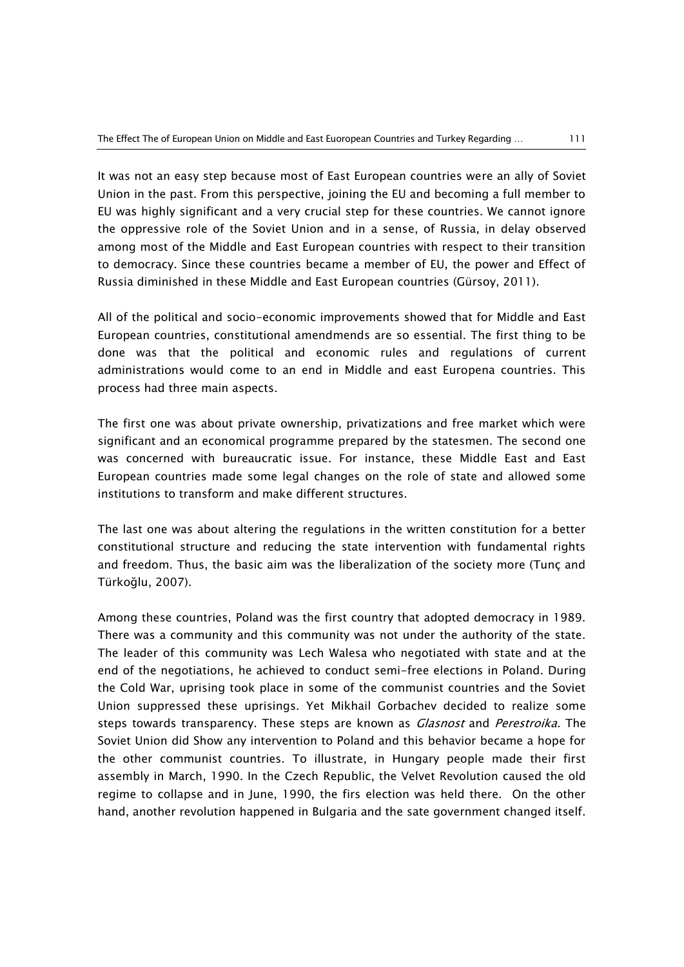It was not an easy step because most of East European countries were an ally of Soviet Union in the past. From this perspective, joining the EU and becoming a full member to EU was highly significant and a very crucial step for these countries. We cannot ignore the oppressive role of the Soviet Union and in a sense, of Russia, in delay observed among most of the Middle and East European countries with respect to their transition to democracy. Since these countries became a member of EU, the power and Effect of Russia diminished in these Middle and East European countries (Gürsoy, 2011).

All of the political and socio-economic improvements showed that for Middle and East European countries, constitutional amendmends are so essential. The first thing to be done was that the political and economic rules and regulations of current administrations would come to an end in Middle and east Europena countries. This process had three main aspects.

The first one was about private ownership, privatizations and free market which were significant and an economical programme prepared by the statesmen. The second one was concerned with bureaucratic issue. For instance, these Middle East and East European countries made some legal changes on the role of state and allowed some institutions to transform and make different structures.

The last one was about altering the regulations in the written constitution for a better constitutional structure and reducing the state intervention with fundamental rights and freedom. Thus, the basic aim was the liberalization of the society more (Tunç and Türkoğlu, 2007).

Among these countries, Poland was the first country that adopted democracy in 1989. There was a community and this community was not under the authority of the state. The leader of this community was Lech Walesa who negotiated with state and at the end of the negotiations, he achieved to conduct semi-free elections in Poland. During the Cold War, uprising took place in some of the communist countries and the Soviet Union suppressed these uprisings. Yet Mikhail Gorbachev decided to realize some steps towards transparency. These steps are known as *Glasnost* and *Perestroika*. The Soviet Union did Show any intervention to Poland and this behavior became a hope for the other communist countries. To illustrate, in Hungary people made their first assembly in March, 1990. In the Czech Republic, the Velvet Revolution caused the old regime to collapse and in June, 1990, the firs election was held there. On the other hand, another revolution happened in Bulgaria and the sate government changed itself.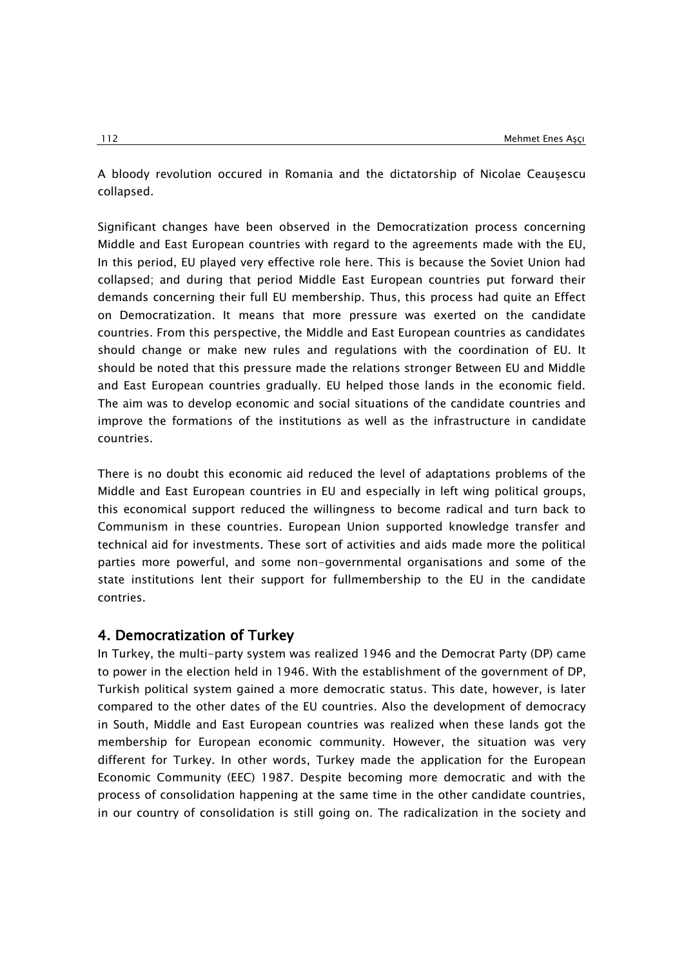A bloody revolution occured in Romania and the dictatorship of Nicolae Ceauşescu collapsed.

Significant changes have been observed in the Democratization process concerning Middle and East European countries with regard to the agreements made with the EU, In this period, EU played very effective role here. This is because the Soviet Union had collapsed; and during that period Middle East European countries put forward their demands concerning their full EU membership. Thus, this process had quite an Effect on Democratization. It means that more pressure was exerted on the candidate countries. From this perspective, the Middle and East European countries as candidates should change or make new rules and regulations with the coordination of EU. It should be noted that this pressure made the relations stronger Between EU and Middle and East European countries gradually. EU helped those lands in the economic field. The aim was to develop economic and social situations of the candidate countries and improve the formations of the institutions as well as the infrastructure in candidate countries.

There is no doubt this economic aid reduced the level of adaptations problems of the Middle and East European countries in EU and especially in left wing political groups, this economical support reduced the willingness to become radical and turn back to Communism in these countries. European Union supported knowledge transfer and technical aid for investments. These sort of activities and aids made more the political parties more powerful, and some non-governmental organisations and some of the state institutions lent their support for fullmembership to the EU in the candidate contries.

### 4. Democratization of Turkey

In Turkey, the multi-party system was realized 1946 and the Democrat Party (DP) came to power in the election held in 1946. With the establishment of the government of DP, Turkish political system gained a more democratic status. This date, however, is later compared to the other dates of the EU countries. Also the development of democracy in South, Middle and East European countries was realized when these lands got the membership for European economic community. However, the situation was very different for Turkey. In other words, Turkey made the application for the European Economic Community (EEC) 1987. Despite becoming more democratic and with the process of consolidation happening at the same time in the other candidate countries, in our country of consolidation is still going on. The radicalization in the society and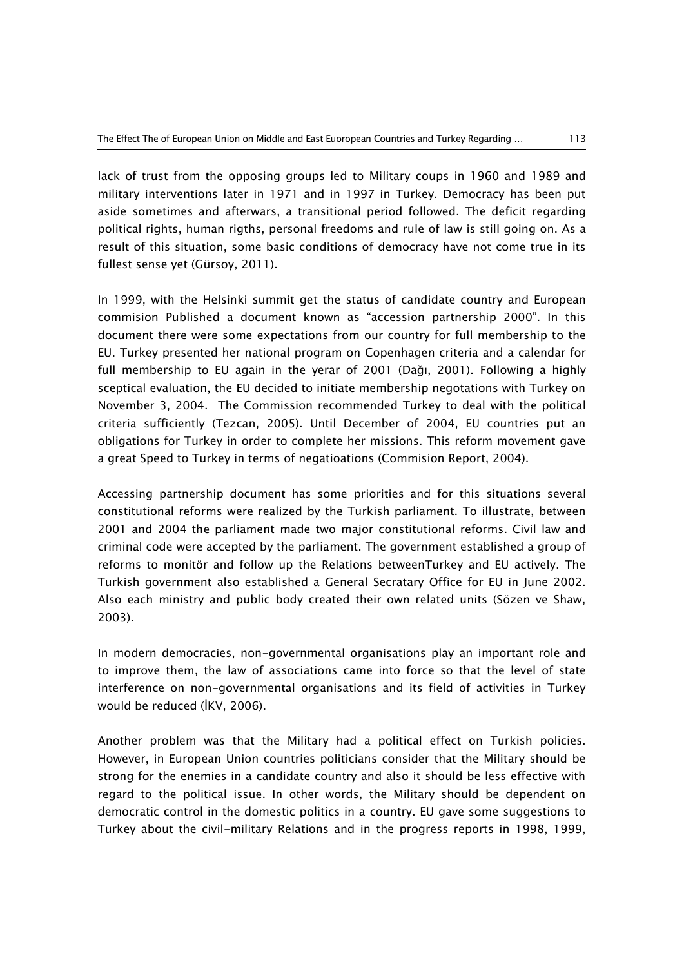lack of trust from the opposing groups led to Military coups in 1960 and 1989 and military interventions later in 1971 and in 1997 in Turkey. Democracy has been put aside sometimes and afterwars, a transitional period followed. The deficit regarding political rights, human rigths, personal freedoms and rule of law is still going on. As a result of this situation, some basic conditions of democracy have not come true in its fullest sense yet (Gürsoy, 2011).

In 1999, with the Helsinki summit get the status of candidate country and European commision Published a document known as "accession partnership 2000". In this document there were some expectations from our country for full membership to the EU. Turkey presented her national program on Copenhagen criteria and a calendar for full membership to EU again in the yerar of 2001 (Dağı, 2001). Following a highly sceptical evaluation, the EU decided to initiate membership negotations with Turkey on November 3, 2004. The Commission recommended Turkey to deal with the political criteria sufficiently (Tezcan, 2005). Until December of 2004, EU countries put an obligations for Turkey in order to complete her missions. This reform movement gave a great Speed to Turkey in terms of negatioations (Commision Report, 2004).

Accessing partnership document has some priorities and for this situations several constitutional reforms were realized by the Turkish parliament. To illustrate, between 2001 and 2004 the parliament made two major constitutional reforms. Civil law and criminal code were accepted by the parliament. The government established a group of reforms to monitör and follow up the Relations betweenTurkey and EU actively. The Turkish government also established a General Secratary Office for EU in June 2002. Also each ministry and public body created their own related units (Sözen ve Shaw, 2003).

In modern democracies, non-governmental organisations play an important role and to improve them, the law of associations came into force so that the level of state interference on non-governmental organisations and its field of activities in Turkey would be reduced (İKV, 2006).

Another problem was that the Military had a political effect on Turkish policies. However, in European Union countries politicians consider that the Military should be strong for the enemies in a candidate country and also it should be less effective with regard to the political issue. In other words, the Military should be dependent on democratic control in the domestic politics in a country. EU gave some suggestions to Turkey about the civil-military Relations and in the progress reports in 1998, 1999,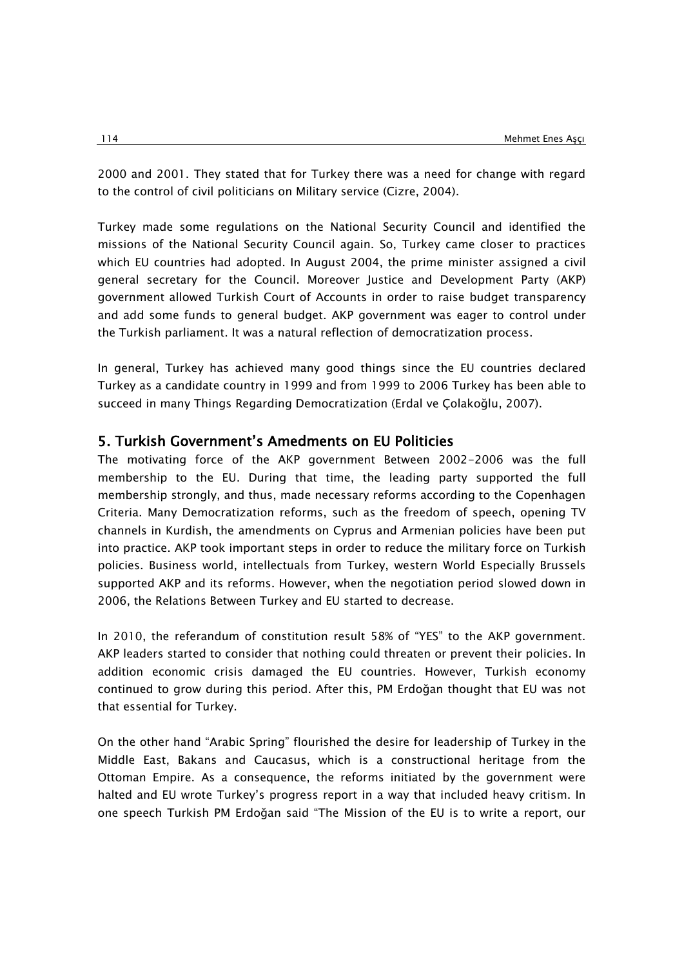2000 and 2001. They stated that for Turkey there was a need for change with regard to the control of civil politicians on Military service (Cizre, 2004).

Turkey made some regulations on the National Security Council and identified the missions of the National Security Council again. So, Turkey came closer to practices which EU countries had adopted. In August 2004, the prime minister assigned a civil general secretary for the Council. Moreover Justice and Development Party (AKP) government allowed Turkish Court of Accounts in order to raise budget transparency and add some funds to general budget. AKP government was eager to control under the Turkish parliament. It was a natural reflection of democratization process.

In general, Turkey has achieved many good things since the EU countries declared Turkey as a candidate country in 1999 and from 1999 to 2006 Turkey has been able to succeed in many Things Regarding Democratization (Erdal ve Çolakoğlu, 2007).

### 5. Turkish Government's Amedments on EU Politicies

The motivating force of the AKP government Between 2002-2006 was the full membership to the EU. During that time, the leading party supported the full membership strongly, and thus, made necessary reforms according to the Copenhagen Criteria. Many Democratization reforms, such as the freedom of speech, opening TV channels in Kurdish, the amendments on Cyprus and Armenian policies have been put into practice. AKP took important steps in order to reduce the military force on Turkish policies. Business world, intellectuals from Turkey, western World Especially Brussels supported AKP and its reforms. However, when the negotiation period slowed down in 2006, the Relations Between Turkey and EU started to decrease.

In 2010, the referandum of constitution result 58% of "YES" to the AKP government. AKP leaders started to consider that nothing could threaten or prevent their policies. In addition economic crisis damaged the EU countries. However, Turkish economy continued to grow during this period. After this, PM Erdoğan thought that EU was not that essential for Turkey.

On the other hand "Arabic Spring" flourished the desire for leadership of Turkey in the Middle East, Bakans and Caucasus, which is a constructional heritage from the Ottoman Empire. As a consequence, the reforms initiated by the government were halted and EU wrote Turkey's progress report in a way that included heavy critism. In one speech Turkish PM Erdoğan said "The Mission of the EU is to write a report, our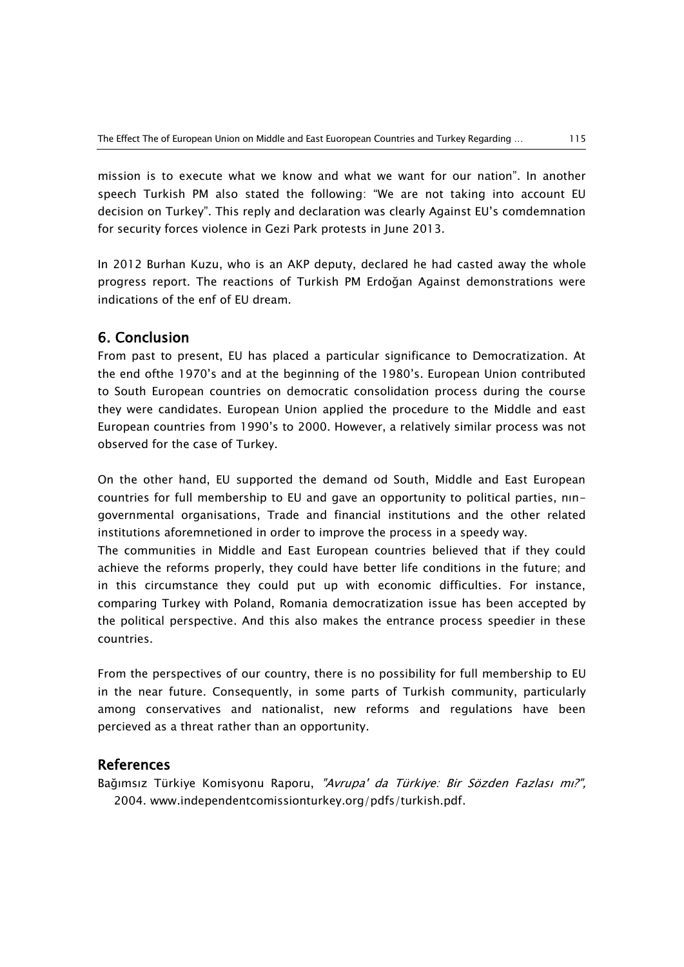mission is to execute what we know and what we want for our nation". In another speech Turkish PM also stated the following: "We are not taking into account EU decision on Turkey". This reply and declaration was clearly Against EU's comdemnation for security forces violence in Gezi Park protests in June 2013.

In 2012 Burhan Kuzu, who is an AKP deputy, declared he had casted away the whole progress report. The reactions of Turkish PM Erdoğan Against demonstrations were indications of the enf of EU dream.

### 6. Conclusion

From past to present, EU has placed a particular significance to Democratization. At the end ofthe 1970's and at the beginning of the 1980's. European Union contributed to South European countries on democratic consolidation process during the course they were candidates. European Union applied the procedure to the Middle and east European countries from 1990's to 2000. However, a relatively similar process was not observed for the case of Turkey.

On the other hand, EU supported the demand od South, Middle and East European countries for full membership to EU and gave an opportunity to political parties, nıngovernmental organisations, Trade and financial institutions and the other related institutions aforemnetioned in order to improve the process in a speedy way.

The communities in Middle and East European countries believed that if they could achieve the reforms properly, they could have better life conditions in the future; and in this circumstance they could put up with economic difficulties. For instance, comparing Turkey with Poland, Romania democratization issue has been accepted by the political perspective. And this also makes the entrance process speedier in these countries.

From the perspectives of our country, there is no possibility for full membership to EU in the near future. Consequently, in some parts of Turkish community, particularly among conservatives and nationalist, new reforms and regulations have been percieved as a threat rather than an opportunity.

### References

Bağımsız Türkiye Komisyonu Raporu, "Avrupa' da Türkiye: Bir Sözden Fazlası mı?", 2004. www.independentcomissionturkey.org/pdfs/turkish.pdf.